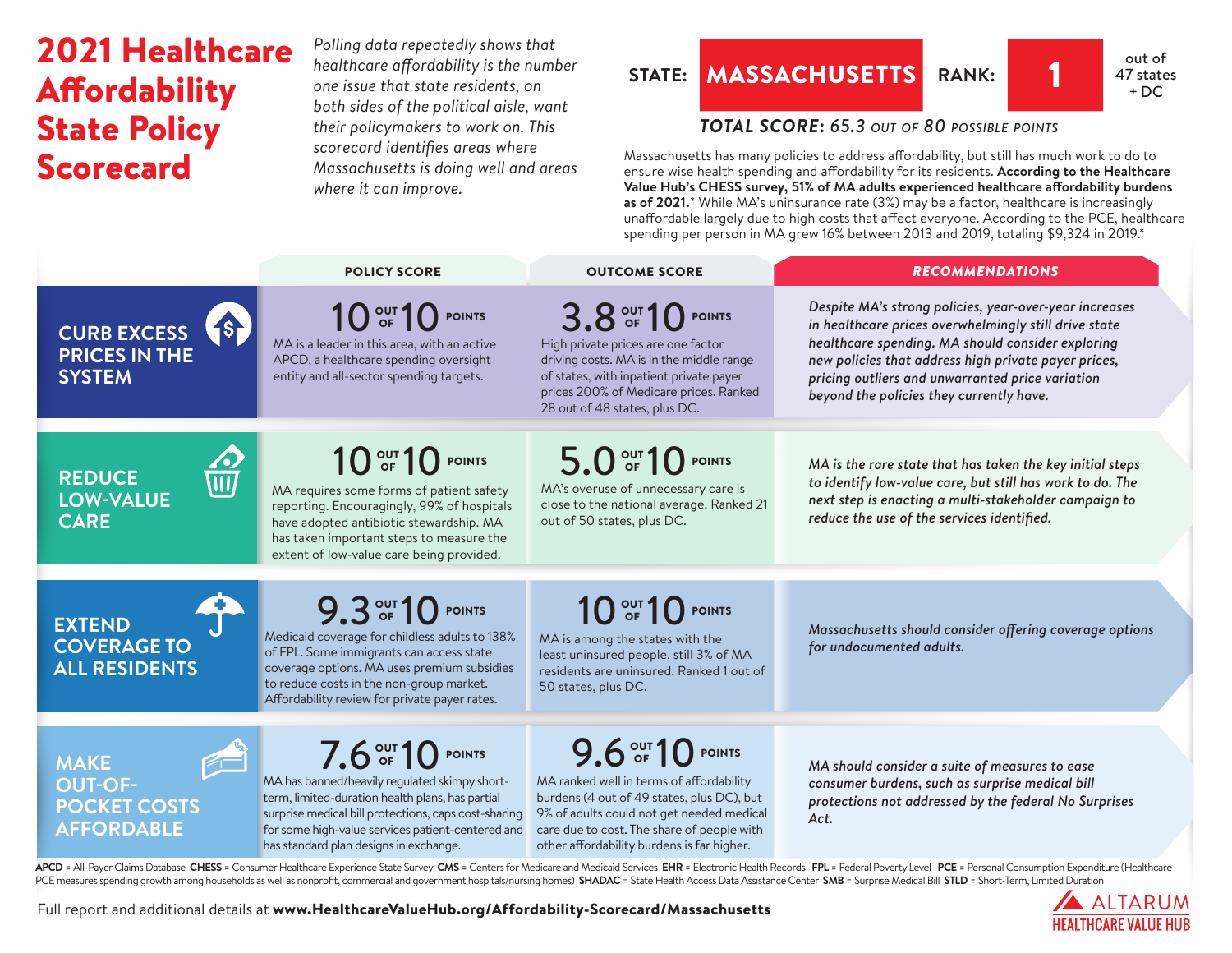# 2021 Healthcare **Affordability** State Policy Scorecard

*Polling data repeatedly shows that healthcare affordability is the number one issue that state residents, on both sides of the political aisle, want their policymakers to work on. This scorecard identifies areas where Massachusetts is doing well and areas where it can improve.*

## **STATE:** MASSACHUSETTS RANK: 1 47 state



## *TOTAL SCORE***:** *65.3 out of 80 possible points*

Massachusetts has many policies to address affordability, but still has much work to do to ensure wise health spending and affordability for its residents. **According to the Healthcare Value Hub's CHESS survey, 51% of MA adults experienced healthcare affordability burdens as of 2021.**\* While MA's uninsurance rate (3%) may be a factor, healthcare is increasingly unaffordable largely due to high costs that affect everyone. According to the PCE, healthcare spending per person in MA grew 16% between 2013 and 2019, totaling \$9,324 in 2019.\*

|                                                                                | <b>POLICY SCORE</b>                                                                                                                                                                                                                                                           | <b>OUTCOME SCORE</b>                                                                                                                                                                                                                                 | <b>RECOMMENDATIONS</b>                                                                                                                                                                                                                                                                                                       |
|--------------------------------------------------------------------------------|-------------------------------------------------------------------------------------------------------------------------------------------------------------------------------------------------------------------------------------------------------------------------------|------------------------------------------------------------------------------------------------------------------------------------------------------------------------------------------------------------------------------------------------------|------------------------------------------------------------------------------------------------------------------------------------------------------------------------------------------------------------------------------------------------------------------------------------------------------------------------------|
| <b>19</b><br><b>CURB EXCESS</b><br><b>PRICES IN THE</b><br><b>SYSTEM</b>       | 10 <sup>out</sup> 10 <sup>point</sup><br>MA is a leader in this area, with an active<br>APCD, a healthcare spending oversight<br>entity and all-sector spending targets.                                                                                                      | 3.8 OUT 10 POINTS<br>High private prices are one factor<br>driving costs. MA is in the middle range<br>of states, with inpatient private payer<br>prices 200% of Medicare prices. Ranked<br>28 out of 48 states, plus DC.                            | Despite MA's strong policies, year-over-year increases<br>in healthcare prices overwhelmingly still drive state<br>healthcare spending. MA should consider exploring<br>new policies that address high private payer prices,<br>pricing outliers and unwarranted price variation<br>beyond the policies they currently have. |
| $\frac{\sqrt{2}}{111}$<br><b>REDUCE</b><br><b>LOW-VALUE</b><br><b>CARE</b>     | $10o$ of $10o$ points<br>MA requires some forms of patient safety<br>reporting. Encouragingly, 99% of hospitals<br>have adopted antibiotic stewardship. MA<br>has taken important steps to measure the<br>extent of low-value care being provided.                            | 5.0 OF 10 POINTS<br>MA's overuse of unnecessary care is<br>close to the national average. Ranked 21<br>out of 50 states, plus DC.                                                                                                                    | MA is the rare state that has taken the key initial steps<br>to identify low-value care, but still has work to do. The<br>next step is enacting a multi-stakeholder campaign to<br>reduce the use of the services identified.                                                                                                |
| <b>EXTEND</b><br><b>COVERAGE TO</b><br><b>ALL RESIDENTS</b>                    | 9.3 OUT 10 POINTS<br>Medicaid coverage for childless adults to 138%<br>of FPL. Some immigrants can access state<br>coverage options. MA uses premium subsidies<br>to reduce costs in the non-group market.<br>Affordability review for private payer rates.                   | 10 <sup>out</sup> 10 <sup>point</sup><br>MA is among the states with the<br>least uninsured people, still 3% of MA<br>residents are uninsured. Ranked 1 out of<br>50 states, plus DC.                                                                | Massachusetts should consider offering coverage options<br>for undocumented adults.                                                                                                                                                                                                                                          |
| E<br><b>MAKE</b><br><b>OUT-OF-</b><br><b>POCKET COSTS</b><br><b>AFFORDABLE</b> | 7.6 OUT 10 POINTS<br>MA has banned/heavily regulated skimpy short-<br>term, limited-duration health plans, has partial<br>surprise medical bill protections, caps cost-sharing<br>for some high-value services patient-centered and<br>has standard plan designs in exchange. | 9.6 OUT 10 POINTS<br>MA ranked well in terms of affordability<br>burdens (4 out of 49 states, plus DC), but<br>9% of adults could not get needed medical<br>care due to cost. The share of people with<br>other affordability burdens is far higher. | MA should consider a suite of measures to ease<br>consumer burdens, such as surprise medical bill<br>protections not addressed by the federal No Surprises<br>Act.                                                                                                                                                           |

APCD = All-Payer Claims Database CHESS = Consumer Healthcare Experience State Survey CMS = Centers for Medicare and Medicaid Services EHR = Electronic Health Records FPL = Federal Poverty Level PCE = Personal Consumption E PCE measures spending growth among households as well as nonprofit, commercial and government hospitals/nursing homes) SHADAC = State Health Access Data Assistance Center SMB = Surprise Medical Bill STLD = Short-Term, Limi

Full report and additional details at [www.HealthcareValueHub.org/Affordability-Scorecard/M](https://www.HealthcareValueHub.org/Affordability-Scorecard/Massachusetts)assachusetts